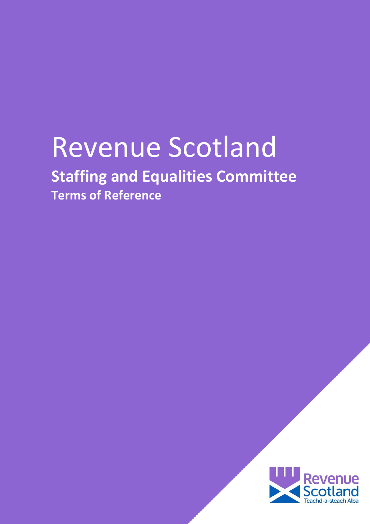# Revenue Scotland **Staffing and Equalities Committee**

**Terms of Reference**

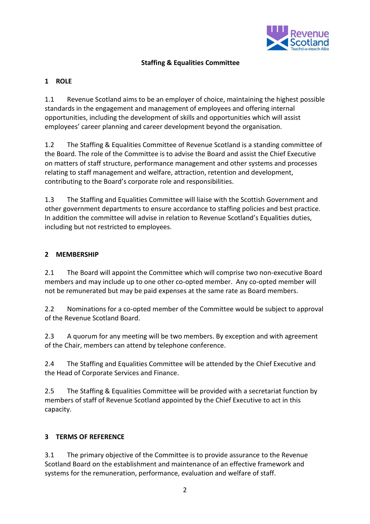

## **Staffing & Equalities Committee**

## **1 ROLE**

1.1 Revenue Scotland aims to be an employer of choice, maintaining the highest possible standards in the engagement and management of employees and offering internal opportunities, including the development of skills and opportunities which will assist employees' career planning and career development beyond the organisation.

1.2 The Staffing & Equalities Committee of Revenue Scotland is a standing committee of the Board. The role of the Committee is to advise the Board and assist the Chief Executive on matters of staff structure, performance management and other systems and processes relating to staff management and welfare, attraction, retention and development, contributing to the Board's corporate role and responsibilities.

1.3 The Staffing and Equalities Committee will liaise with the Scottish Government and other government departments to ensure accordance to staffing policies and best practice. In addition the committee will advise in relation to Revenue Scotland's Equalities duties, including but not restricted to employees.

### **2 MEMBERSHIP**

2.1 The Board will appoint the Committee which will comprise two non-executive Board members and may include up to one other co-opted member. Any co-opted member will not be remunerated but may be paid expenses at the same rate as Board members.

2.2 Nominations for a co-opted member of the Committee would be subject to approval of the Revenue Scotland Board.

2.3 A quorum for any meeting will be two members. By exception and with agreement of the Chair, members can attend by telephone conference.

2.4 The Staffing and Equalities Committee will be attended by the Chief Executive and the Head of Corporate Services and Finance.

2.5 The Staffing & Equalities Committee will be provided with a secretariat function by members of staff of Revenue Scotland appointed by the Chief Executive to act in this capacity.

### **3 TERMS OF REFERENCE**

3.1 The primary objective of the Committee is to provide assurance to the Revenue Scotland Board on the establishment and maintenance of an effective framework and systems for the remuneration, performance, evaluation and welfare of staff.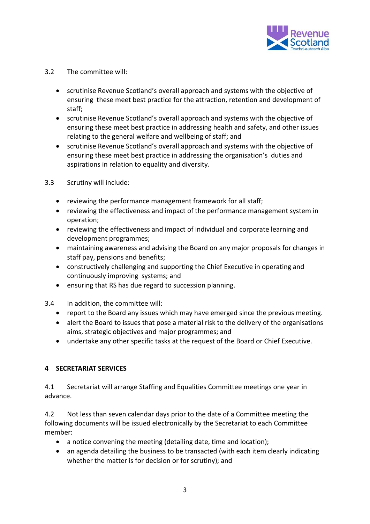

#### 3.2 The committee will:

- scrutinise Revenue Scotland's overall approach and systems with the objective of ensuring these meet best practice for the attraction, retention and development of staff;
- scrutinise Revenue Scotland's overall approach and systems with the objective of ensuring these meet best practice in addressing health and safety, and other issues relating to the general welfare and wellbeing of staff; and
- scrutinise Revenue Scotland's overall approach and systems with the objective of ensuring these meet best practice in addressing the organisation's duties and aspirations in relation to equality and diversity.
- 3.3 Scrutiny will include:
	- reviewing the performance management framework for all staff;
	- reviewing the effectiveness and impact of the performance management system in operation;
	- reviewing the effectiveness and impact of individual and corporate learning and development programmes;
	- maintaining awareness and advising the Board on any major proposals for changes in staff pay, pensions and benefits;
	- constructively challenging and supporting the Chief Executive in operating and continuously improving systems; and
	- ensuring that RS has due regard to succession planning.
- 3.4 In addition, the committee will:
	- report to the Board any issues which may have emerged since the previous meeting.
	- alert the Board to issues that pose a material risk to the delivery of the organisations aims, strategic objectives and major programmes; and
	- undertake any other specific tasks at the request of the Board or Chief Executive.

#### **4 SECRETARIAT SERVICES**

4.1 Secretariat will arrange Staffing and Equalities Committee meetings one year in advance.

4.2 Not less than seven calendar days prior to the date of a Committee meeting the following documents will be issued electronically by the Secretariat to each Committee member:

- a notice convening the meeting (detailing date, time and location);
- an agenda detailing the business to be transacted (with each item clearly indicating whether the matter is for decision or for scrutiny); and